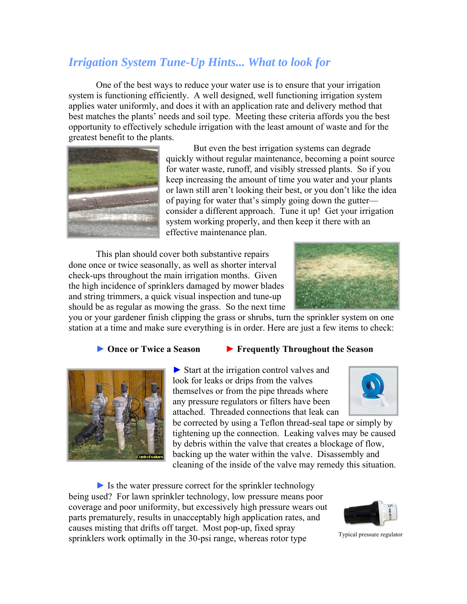## *Irrigation System Tune-Up Hints... What to look for*

One of the best ways to reduce your water use is to ensure that your irrigation system is functioning efficiently. A well designed, well functioning irrigation system applies water uniformly, and does it with an application rate and delivery method that best matches the plants' needs and soil type. Meeting these criteria affords you the best opportunity to effectively schedule irrigation with the least amount of waste and for the greatest benefit to the plants.



But even the best irrigation systems can degrade quickly without regular maintenance, becoming a point source for water waste, runoff, and visibly stressed plants. So if you keep increasing the amount of time you water and your plants or lawn still aren't looking their best, or you don't like the idea of paying for water that's simply going down the gutter consider a different approach. Tune it up! Get your irrigation system working properly, and then keep it there with an effective maintenance plan.

This plan should cover both substantive repairs done once or twice seasonally, as well as shorter interval check-ups throughout the main irrigation months. Given the high incidence of sprinklers damaged by mower blades and string trimmers, a quick visual inspection and tune-up should be as regular as mowing the grass. So the next time



you or your gardener finish clipping the grass or shrubs, turn the sprinkler system on one station at a time and make sure everything is in order. Here are just a few items to check:

## **► Once or Twice a Season ► Frequently Throughout the Season**



► Start at the irrigation control valves and look for leaks or drips from the valves themselves or from the pipe threads where any pressure regulators or filters have been attached. Threaded connections that leak can



be corrected by using a Teflon thread-seal tape or simply by tightening up the connection. Leaking valves may be caused by debris within the valve that creates a blockage of flow, backing up the water within the valve. Disassembly and cleaning of the inside of the valve may remedy this situation.

 $\triangleright$  Is the water pressure correct for the sprinkler technology being used? For lawn sprinkler technology, low pressure means poor coverage and poor uniformity, but excessively high pressure wears out parts prematurely, results in unacceptably high application rates, and causes misting that drifts off target. Most pop-up, fixed spray sprinklers work optimally in the 30-psi range, whereas rotor type



Typical pressure regulator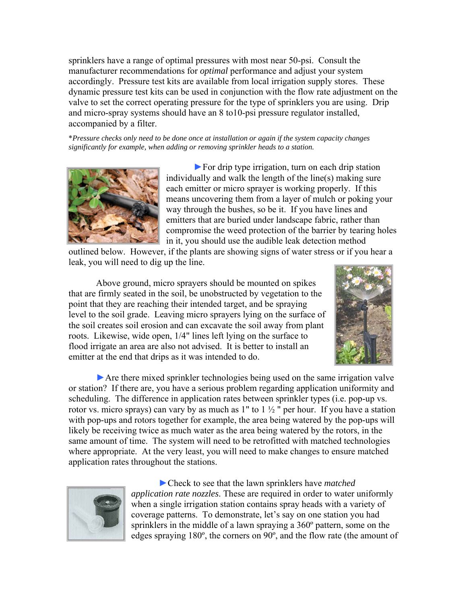sprinklers have a range of optimal pressures with most near 50-psi. Consult the manufacturer recommendations for *optimal* performance and adjust your system accordingly. Pressure test kits are available from local irrigation supply stores. These dynamic pressure test kits can be used in conjunction with the flow rate adjustment on the valve to set the correct operating pressure for the type of sprinklers you are using. Drip and micro-spray systems should have an 8 to10-psi pressure regulator installed, accompanied by a filter.

\**Pressure checks only need to be done once at installation or again if the system capacity changes significantly for example, when adding or removing sprinkler heads to a station.*



►For drip type irrigation, turn on each drip station individually and walk the length of the line(s) making sure each emitter or micro sprayer is working properly. If this means uncovering them from a layer of mulch or poking your way through the bushes, so be it. If you have lines and emitters that are buried under landscape fabric, rather than compromise the weed protection of the barrier by tearing holes in it, you should use the audible leak detection method

outlined below. However, if the plants are showing signs of water stress or if you hear a leak, you will need to dig up the line.

Above ground, micro sprayers should be mounted on spikes that are firmly seated in the soil, be unobstructed by vegetation to the point that they are reaching their intended target, and be spraying level to the soil grade. Leaving micro sprayers lying on the surface of the soil creates soil erosion and can excavate the soil away from plant roots. Likewise, wide open, 1/4" lines left lying on the surface to flood irrigate an area are also not advised. It is better to install an emitter at the end that drips as it was intended to do.



► Are there mixed sprinkler technologies being used on the same irrigation valve or station? If there are, you have a serious problem regarding application uniformity and scheduling. The difference in application rates between sprinkler types (i.e. pop-up vs. rotor vs. micro sprays) can vary by as much as  $1"$  to  $1\frac{1}{2}$ " per hour. If you have a station with pop-ups and rotors together for example, the area being watered by the pop-ups will likely be receiving twice as much water as the area being watered by the rotors, in the same amount of time. The system will need to be retrofitted with matched technologies where appropriate. At the very least, you will need to make changes to ensure matched application rates throughout the stations.



►Check to see that the lawn sprinklers have *matched application rate nozzles*. These are required in order to water uniformly when a single irrigation station contains spray heads with a variety of coverage patterns. To demonstrate, let's say on one station you had sprinklers in the middle of a lawn spraying a 360º pattern, some on the edges spraying 180º, the corners on 90º, and the flow rate (the amount of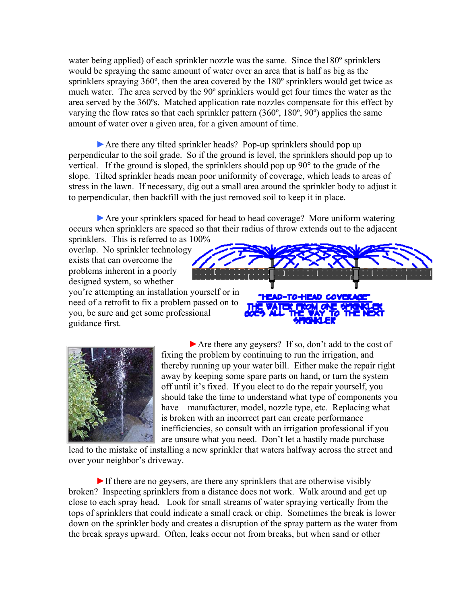water being applied) of each sprinkler nozzle was the same. Since the 180<sup>°</sup> sprinklers would be spraying the same amount of water over an area that is half as big as the sprinklers spraying 360º, then the area covered by the 180º sprinklers would get twice as much water. The area served by the 90º sprinklers would get four times the water as the area served by the 360ºs. Matched application rate nozzles compensate for this effect by varying the flow rates so that each sprinkler pattern (360º, 180º, 90º) applies the same amount of water over a given area, for a given amount of time.

►Are there any tilted sprinkler heads? Pop-up sprinklers should pop up perpendicular to the soil grade. So if the ground is level, the sprinklers should pop up to vertical. If the ground is sloped, the sprinklers should pop up 90° to the grade of the slope. Tilted sprinkler heads mean poor uniformity of coverage, which leads to areas of stress in the lawn. If necessary, dig out a small area around the sprinkler body to adjust it to perpendicular, then backfill with the just removed soil to keep it in place.

►Are your sprinklers spaced for head to head coverage? More uniform watering occurs when sprinklers are spaced so that their radius of throw extends out to the adjacent sprinklers. This is referred to as 100%

overlap. No sprinkler technology exists that can overcome the problems inherent in a poorly designed system, so whether

you're attempting an installation yourself or in need of a retrofit to fix a problem passed on to you, be sure and get some professional guidance first.



►Are there any geysers? If so, don't add to the cost of fixing the problem by continuing to run the irrigation, and thereby running up your water bill. Either make the repair right away by keeping some spare parts on hand, or turn the system off until it's fixed. If you elect to do the repair yourself, you should take the time to understand what type of components you have – manufacturer, model, nozzle type, etc. Replacing what is broken with an incorrect part can create performance inefficiencies, so consult with an irrigation professional if you are unsure what you need. Don't let a hastily made purchase

lead to the mistake of installing a new sprinkler that waters halfway across the street and over your neighbor's driveway.

 $\triangleright$  If there are no geysers, are there any sprinklers that are otherwise visibly broken? Inspecting sprinklers from a distance does not work. Walk around and get up close to each spray head. Look for small streams of water spraying vertically from the tops of sprinklers that could indicate a small crack or chip. Sometimes the break is lower down on the sprinkler body and creates a disruption of the spray pattern as the water from the break sprays upward. Often, leaks occur not from breaks, but when sand or other

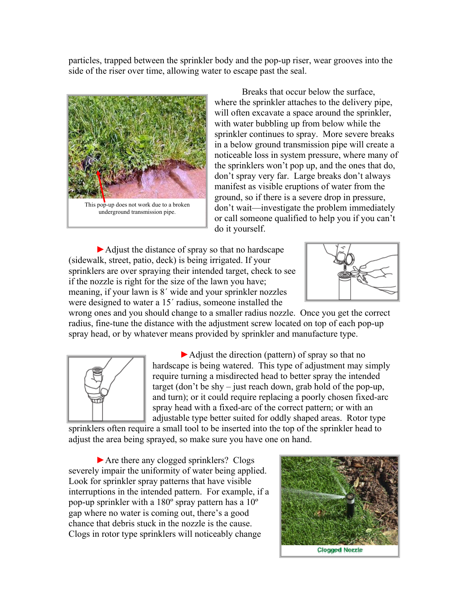particles, trapped between the sprinkler body and the pop-up riser, wear grooves into the side of the riser over time, allowing water to escape past the seal.



Breaks that occur below the surface, where the sprinkler attaches to the delivery pipe, will often excavate a space around the sprinkler, with water bubbling up from below while the sprinkler continues to spray. More severe breaks in a below ground transmission pipe will create a noticeable loss in system pressure, where many of the sprinklers won't pop up, and the ones that do, don't spray very far. Large breaks don't always manifest as visible eruptions of water from the ground, so if there is a severe drop in pressure, don't wait—investigate the problem immediately or call someone qualified to help you if you can't do it yourself.

►Adjust the distance of spray so that no hardscape (sidewalk, street, patio, deck) is being irrigated. If your sprinklers are over spraying their intended target, check to see if the nozzle is right for the size of the lawn you have; meaning, if your lawn is 8´ wide and your sprinkler nozzles were designed to water a 15´ radius, someone installed the



wrong ones and you should change to a smaller radius nozzle. Once you get the correct radius, fine-tune the distance with the adjustment screw located on top of each pop-up spray head, or by whatever means provided by sprinkler and manufacture type.



►Adjust the direction (pattern) of spray so that no hardscape is being watered. This type of adjustment may simply require turning a misdirected head to better spray the intended target (don't be shy – just reach down, grab hold of the pop-up, and turn); or it could require replacing a poorly chosen fixed-arc spray head with a fixed-arc of the correct pattern; or with an adjustable type better suited for oddly shaped areas. Rotor type

sprinklers often require a small tool to be inserted into the top of the sprinkler head to adjust the area being sprayed, so make sure you have one on hand.

►Are there any clogged sprinklers? Clogs severely impair the uniformity of water being applied. Look for sprinkler spray patterns that have visible interruptions in the intended pattern. For example, if a pop-up sprinkler with a 180º spray pattern has a 10º gap where no water is coming out, there's a good chance that debris stuck in the nozzle is the cause. Clogs in rotor type sprinklers will noticeably change